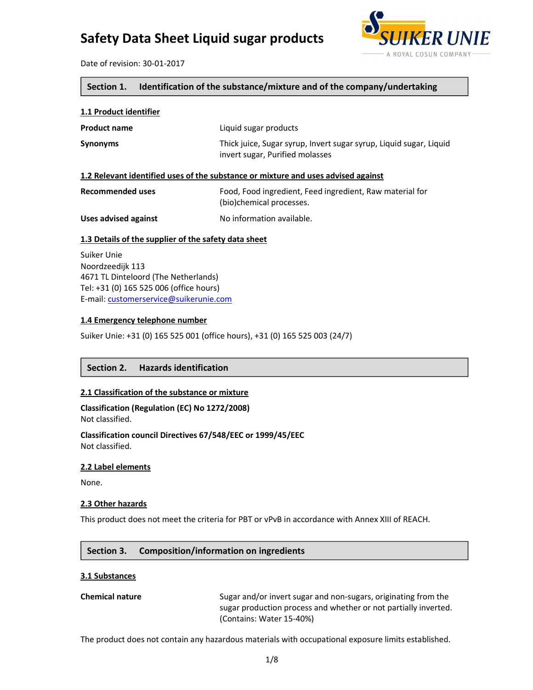

Date of revision: 30-01-2017

#### **Section 1. Identification of the substance/mixture and of the company/undertaking**

#### **1.1 Product identifier**

| <b>Product name</b> | Liquid sugar products                                                                                 |
|---------------------|-------------------------------------------------------------------------------------------------------|
| <b>Synonyms</b>     | Thick juice, Sugar syrup, Invert sugar syrup, Liquid sugar, Liquid<br>invert sugar, Purified molasses |

#### **1.2 Relevant identified uses of the substance or mixture and uses advised against**

| Recommended uses     | Food, Food ingredient, Feed ingredient, Raw material for<br>(bio)chemical processes. |
|----------------------|--------------------------------------------------------------------------------------|
| Uses advised against | No information available.                                                            |

#### **1.3 Details of the supplier of the safety data sheet**

Suiker Unie Noordzeedijk 113 4671 TL Dinteloord (The Netherlands) Tel: +31 (0) 165 525 006 (office hours) E-mail: customerservice@suikerunie.com

#### **1.4 Emergency telephone number**

Suiker Unie: +31 (0) 165 525 001 (office hours), +31 (0) 165 525 003 (24/7)

#### **Section 2. Hazards identification**

#### **2.1 Classification of the substance or mixture**

**Classification (Regulation (EC) No 1272/2008)** Not classified.

**Classification council Directives 67/548/EEC or 1999/45/EEC** Not classified.

#### **2.2 Label elements**

None.

#### **2.3 Other hazards**

This product does not meet the criteria for PBT or vPvB in accordance with Annex XIII of REACH.

#### **Section 3. Composition/information on ingredients**

#### **3.1 Substances**

**Chemical nature** Sugar and/or invert sugar and non-sugars, originating from the sugar production process and whether or not partially inverted. (Contains: Water 15-40%)

The product does not contain any hazardous materials with occupational exposure limits established.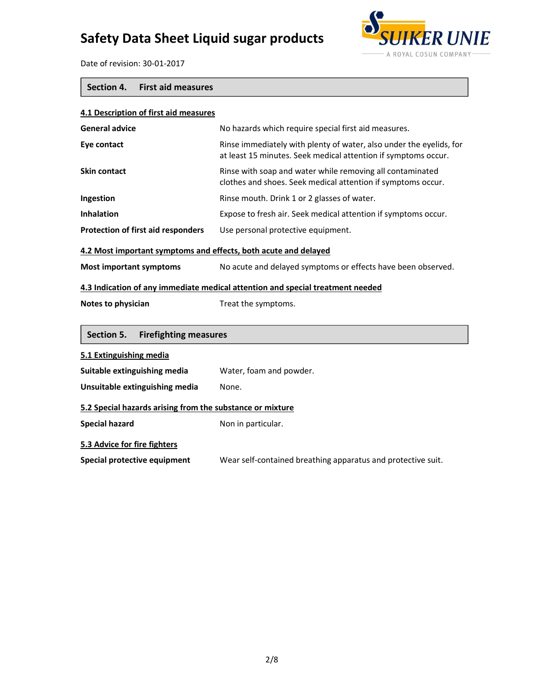

Date of revision: 30-01-2017

### **Section 4. First aid measures**

| 4.1 Description of first aid measures                                          |                                                                                                                                       |  |
|--------------------------------------------------------------------------------|---------------------------------------------------------------------------------------------------------------------------------------|--|
| <b>General advice</b>                                                          | No hazards which require special first aid measures.                                                                                  |  |
| Eye contact                                                                    | Rinse immediately with plenty of water, also under the eyelids, for<br>at least 15 minutes. Seek medical attention if symptoms occur. |  |
| <b>Skin contact</b>                                                            | Rinse with soap and water while removing all contaminated<br>clothes and shoes. Seek medical attention if symptoms occur.             |  |
| Ingestion                                                                      | Rinse mouth. Drink 1 or 2 glasses of water.                                                                                           |  |
| <b>Inhalation</b>                                                              | Expose to fresh air. Seek medical attention if symptoms occur.                                                                        |  |
| Protection of first aid responders                                             | Use personal protective equipment.                                                                                                    |  |
| 4.2 Most important symptoms and effects, both acute and delayed                |                                                                                                                                       |  |
| <b>Most important symptoms</b>                                                 | No acute and delayed symptoms or effects have been observed.                                                                          |  |
| 4.3 Indication of any immediate medical attention and special treatment needed |                                                                                                                                       |  |
| Notes to physician                                                             | Treat the symptoms.                                                                                                                   |  |
| Section 5.<br><b>Firefighting measures</b>                                     |                                                                                                                                       |  |
| 5.1 Extinguishing media                                                        |                                                                                                                                       |  |
| Suitable extinguishing media                                                   | Water, foam and powder.                                                                                                               |  |
| Unsuitable extinguishing media                                                 | None.                                                                                                                                 |  |
| 5.2 Special hazards arising from the substance or mixture                      |                                                                                                                                       |  |
| <b>Special hazard</b>                                                          | Non in particular.                                                                                                                    |  |
| 5.3 Advice for fire fighters                                                   |                                                                                                                                       |  |
| Special protective equipment                                                   | Wear self-contained breathing apparatus and protective suit.                                                                          |  |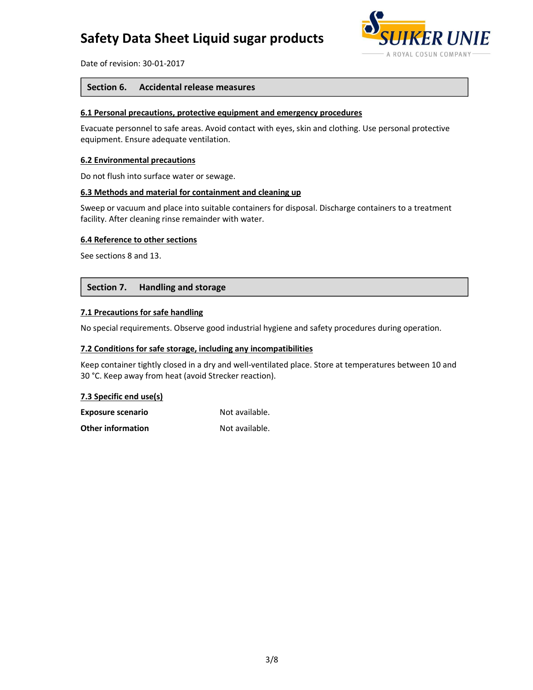

Date of revision: 30-01-2017

#### **Section 6. Accidental release measures**

#### **6.1 Personal precautions, protective equipment and emergency procedures**

Evacuate personnel to safe areas. Avoid contact with eyes, skin and clothing. Use personal protective equipment. Ensure adequate ventilation.

#### **6.2 Environmental precautions**

Do not flush into surface water or sewage.

#### **6.3 Methods and material for containment and cleaning up**

Sweep or vacuum and place into suitable containers for disposal. Discharge containers to a treatment facility. After cleaning rinse remainder with water.

#### **6.4 Reference to other sections**

See sections 8 and 13.

#### **Section 7. Handling and storage**

#### **7.1 Precautions for safe handling**

No special requirements. Observe good industrial hygiene and safety procedures during operation.

#### **7.2 Conditions for safe storage, including any incompatibilities**

Keep container tightly closed in a dry and well-ventilated place. Store at temperatures between 10 and 30 °C. Keep away from heat (avoid Strecker reaction).

#### **7.3 Specific end use(s)**

| <b>Exposure scenario</b> | Not available. |
|--------------------------|----------------|
| <b>Other information</b> | Not available. |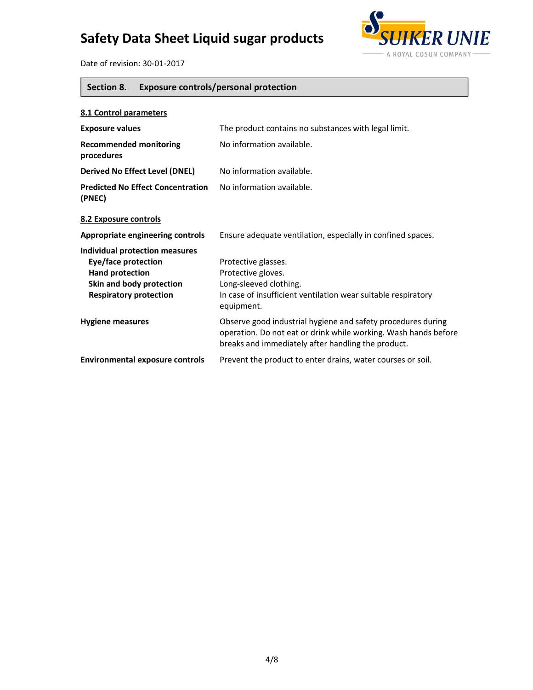

Date of revision: 30-01-2017

### **Section 8. Exposure controls/personal protection**

| 8.1 Control parameters                                                                                                                              |                                                                                                                                                                                       |
|-----------------------------------------------------------------------------------------------------------------------------------------------------|---------------------------------------------------------------------------------------------------------------------------------------------------------------------------------------|
| <b>Exposure values</b>                                                                                                                              | The product contains no substances with legal limit.                                                                                                                                  |
| <b>Recommended monitoring</b><br>procedures                                                                                                         | No information available.                                                                                                                                                             |
| <b>Derived No Effect Level (DNEL)</b>                                                                                                               | No information available.                                                                                                                                                             |
| <b>Predicted No Effect Concentration</b><br>(PNEC)                                                                                                  | No information available.                                                                                                                                                             |
| 8.2 Exposure controls                                                                                                                               |                                                                                                                                                                                       |
| Appropriate engineering controls                                                                                                                    | Ensure adequate ventilation, especially in confined spaces.                                                                                                                           |
| <b>Individual protection measures</b><br>Eye/face protection<br><b>Hand protection</b><br>Skin and body protection<br><b>Respiratory protection</b> | Protective glasses.<br>Protective gloves.<br>Long-sleeved clothing.<br>In case of insufficient ventilation wear suitable respiratory<br>equipment.                                    |
| <b>Hygiene measures</b>                                                                                                                             | Observe good industrial hygiene and safety procedures during<br>operation. Do not eat or drink while working. Wash hands before<br>breaks and immediately after handling the product. |
| <b>Environmental exposure controls</b>                                                                                                              | Prevent the product to enter drains, water courses or soil.                                                                                                                           |
|                                                                                                                                                     |                                                                                                                                                                                       |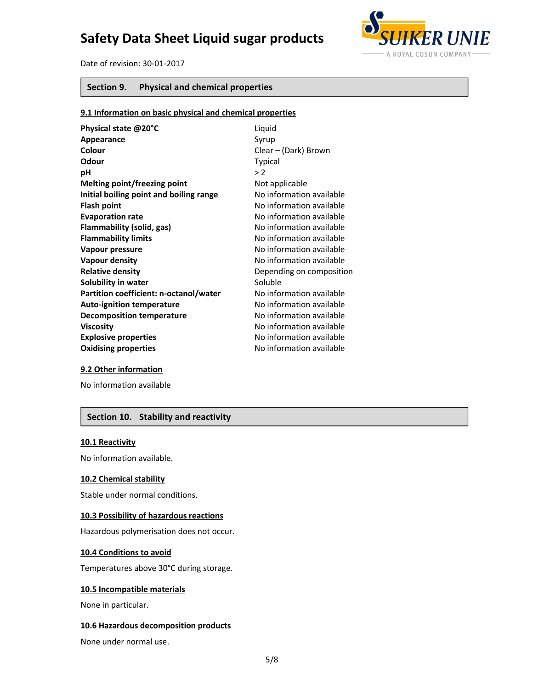

Date of revision: 30-01-2017

#### **Section 9. Physical and chemical properties**

#### **9.1 Information on basic physical and chemical properties**

| Physical state @20°C                    | Liquid                   |
|-----------------------------------------|--------------------------|
| Appearance                              | Syrup                    |
| Colour                                  | Clear – (Dark) Brown     |
| Odour                                   | <b>Typical</b>           |
| рH                                      | >2                       |
| Melting point/freezing point            | Not applicable           |
| Initial boiling point and boiling range | No information available |
| <b>Flash point</b>                      | No information available |
| <b>Evaporation rate</b>                 | No information available |
| Flammability (solid, gas)               | No information available |
| <b>Flammability limits</b>              | No information available |
| Vapour pressure                         | No information available |
| Vapour density                          | No information available |
| <b>Relative density</b>                 | Depending on composition |
| Solubility in water                     | Soluble                  |
| Partition coefficient: n-octanol/water  | No information available |
| <b>Auto-ignition temperature</b>        | No information available |
| <b>Decomposition temperature</b>        | No information available |
| <b>Viscosity</b>                        | No information available |
| <b>Explosive properties</b>             | No information available |
| <b>Oxidising properties</b>             | No information available |

#### **9.2 Other information**

No information available

### **Section 10. Stability and reactivity**

#### **10.1 Reactivity**

No information available.

#### **10.2 Chemical stability**

Stable under normal conditions.

#### **10.3 Possibility of hazardous reactions**

Hazardous polymerisation does not occur.

#### **10.4 Conditions to avoid**

Temperatures above 30°C during storage.

#### **10.5 Incompatible materials**

None in particular.

#### **10.6 Hazardous decomposition products**

None under normal use.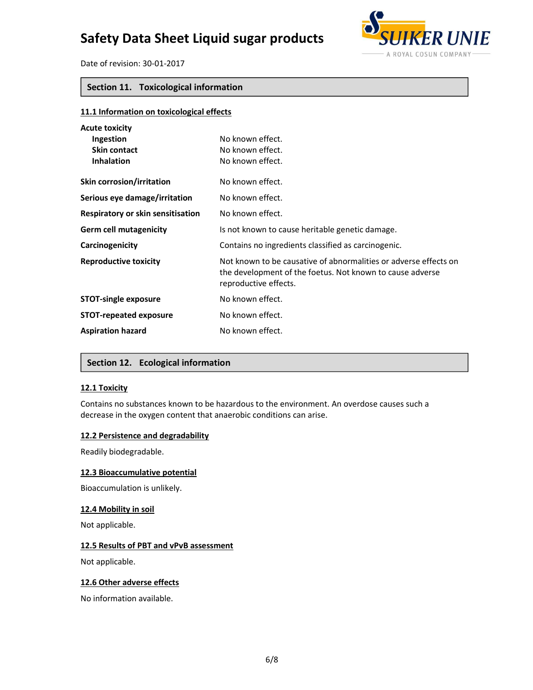

Date of revision: 30-01-2017

#### **Section 11. Toxicological information**

| 11.1 Information on toxicological effects                               |                                                                                                                                                        |
|-------------------------------------------------------------------------|--------------------------------------------------------------------------------------------------------------------------------------------------------|
| <b>Acute toxicity</b><br>Ingestion<br>Skin contact<br><b>Inhalation</b> | No known effect.<br>No known effect.<br>No known effect.                                                                                               |
| Skin corrosion/irritation                                               | No known effect.                                                                                                                                       |
| Serious eye damage/irritation                                           | No known effect.                                                                                                                                       |
| Respiratory or skin sensitisation                                       | No known effect.                                                                                                                                       |
| <b>Germ cell mutagenicity</b>                                           | Is not known to cause heritable genetic damage.                                                                                                        |
| Carcinogenicity                                                         | Contains no ingredients classified as carcinogenic.                                                                                                    |
| <b>Reproductive toxicity</b>                                            | Not known to be causative of abnormalities or adverse effects on<br>the development of the foetus. Not known to cause adverse<br>reproductive effects. |
| <b>STOT-single exposure</b>                                             | No known effect.                                                                                                                                       |
| <b>STOT-repeated exposure</b>                                           | No known effect.                                                                                                                                       |
| <b>Aspiration hazard</b>                                                | No known effect.                                                                                                                                       |

#### **Section 12. Ecological information**

#### **12.1 Toxicity**

Contains no substances known to be hazardous to the environment. An overdose causes such a decrease in the oxygen content that anaerobic conditions can arise.

#### **12.2 Persistence and degradability**

Readily biodegradable.

#### **12.3 Bioaccumulative potential**

Bioaccumulation is unlikely.

#### **12.4 Mobility in soil**

Not applicable.

#### **12.5 Results of PBT and vPvB assessment**

Not applicable.

#### **12.6 Other adverse effects**

No information available.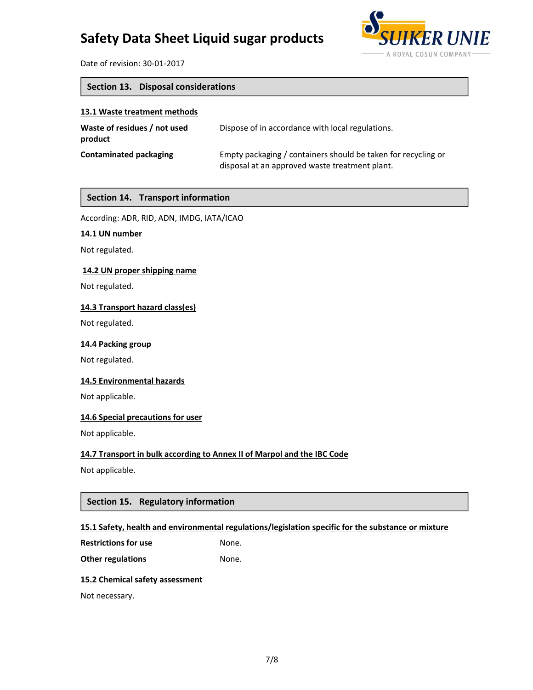

Date of revision: 30-01-2017

### **Section 13. Disposal considerations**

#### **13.1 Waste treatment methods**

| Waste of residues / not used<br>product | Dispose of in accordance with local regulations.                                                                |
|-----------------------------------------|-----------------------------------------------------------------------------------------------------------------|
| Contaminated packaging                  | Empty packaging / containers should be taken for recycling or<br>disposal at an approved waste treatment plant. |

#### **Section 14. Transport information**

According: ADR, RID, ADN, IMDG, IATA/ICAO

#### **14.1 UN number**

Not regulated.

#### **14.2 UN proper shipping name**

Not regulated.

#### **14.3 Transport hazard class(es)**

Not regulated.

#### **14.4 Packing group**

Not regulated.

#### **14.5 Environmental hazards**

Not applicable.

#### **14.6 Special precautions for user**

Not applicable.

#### **14.7 Transport in bulk according to Annex II of Marpol and the IBC Code**

Not applicable.

#### **Section 15. Regulatory information**

#### **15.1 Safety, health and environmental regulations/legislation specific for the substance or mixture**

**Restrictions for use** None.

**Other regulations** None.

#### **15.2 Chemical safety assessment**

Not necessary.